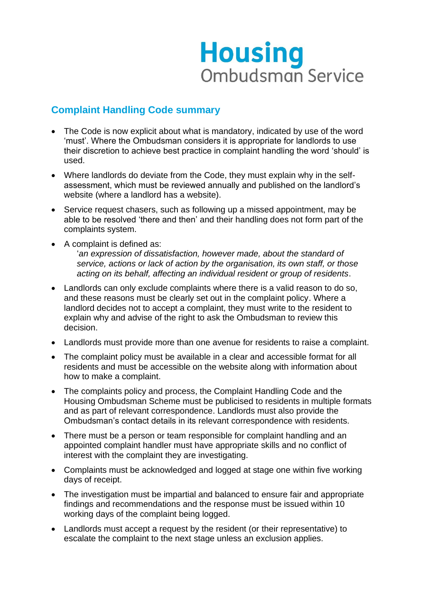## **Housing Ombudsman Service**

## **Complaint Handling Code summary**

- The Code is now explicit about what is mandatory, indicated by use of the word 'must'. Where the Ombudsman considers it is appropriate for landlords to use their discretion to achieve best practice in complaint handling the word 'should' is used.
- Where landlords do deviate from the Code, they must explain why in the selfassessment, which must be reviewed annually and published on the landlord's website (where a landlord has a website).
- Service request chasers, such as following up a missed appointment, may be able to be resolved 'there and then' and their handling does not form part of the complaints system.
- A complaint is defined as: '*an expression of dissatisfaction, however made, about the standard of service, actions or lack of action by the organisation, its own staff, or those acting on its behalf, affecting an individual resident or group of residents*.
- Landlords can only exclude complaints where there is a valid reason to do so, and these reasons must be clearly set out in the complaint policy. Where a landlord decides not to accept a complaint, they must write to the resident to explain why and advise of the right to ask the Ombudsman to review this decision.
- Landlords must provide more than one avenue for residents to raise a complaint.
- The complaint policy must be available in a clear and accessible format for all residents and must be accessible on the website along with information about how to make a complaint.
- The complaints policy and process, the Complaint Handling Code and the Housing Ombudsman Scheme must be publicised to residents in multiple formats and as part of relevant correspondence. Landlords must also provide the Ombudsman's contact details in its relevant correspondence with residents.
- There must be a person or team responsible for complaint handling and an appointed complaint handler must have appropriate skills and no conflict of interest with the complaint they are investigating.
- Complaints must be acknowledged and logged at stage one within five working days of receipt.
- The investigation must be impartial and balanced to ensure fair and appropriate findings and recommendations and the response must be issued within 10 working days of the complaint being logged.
- Landlords must accept a request by the resident (or their representative) to escalate the complaint to the next stage unless an exclusion applies.